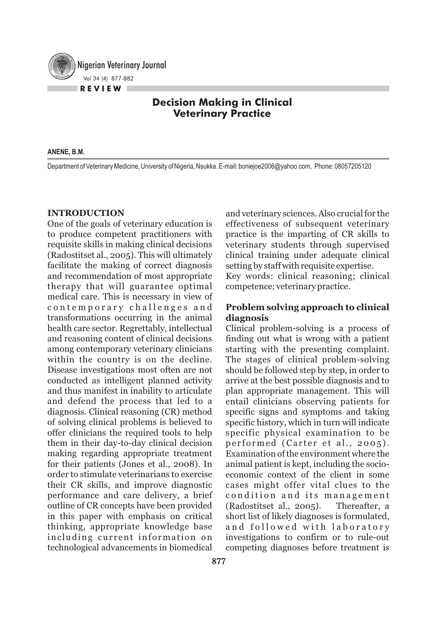Nigerian Veterinary Journal Vol 34 (4) 877-882 **R E V I E W**

# **Decision Making in Clinical Veterinary Practice**

#### **ANENE, B.M.**

Department of Veterinary Medicine, University of Nigeria, Nsukka. E-mail: boniejoe2006@yahoo.com, Phone: 08057205120

### **INTRODUCTION**

One of the goals of veterinary education is to produce competent practitioners with requisite skills in making clinical decisions (Radostitset al., 2005). This will ultimately facilitate the making of correct diagnosis and recommendation of most appropriate therapy that will guarantee optimal medical care. This is necessary in view of contemporary challenges and transformations occurring in the animal health care sector. Regrettably, intellectual and reasoning content of clinical decisions among contemporary veterinary clinicians within the country is on the decline. Disease investigations most often are not conducted as intelligent planned activity and thus manifest in inability to articulate and defend the process that led to a diagnosis. Clinical reasoning (CR) method of solving clinical problems is believed to offer clinicians the required tools to help them in their day-to-day clinical decision making regarding appropriate treatment for their patients (Jones et al., 2008). In order to stimulate veterinarians to exercise their CR skills, and improve diagnostic performance and care delivery, a brief outline of CR concepts have been provided in this paper with emphasis on critical thinking, appropriate knowledge base including current information on technological advancements in biomedical

and veterinary sciences. Also crucial for the effectiveness of subsequent veterinary practice is the imparting of CR skills to veterinary students through supervised clinical training under adequate clinical setting by staff with requisite expertise.

Key words: clinical reasoning; clinical competence; veterinary practice.

## **Problem solving approach to clinical diagnosis**

Clinical problem-solving is a process of finding out what is wrong with a patient starting with the presenting complaint. The stages of clinical problem-solving should be followed step by step, in order to arrive at the best possible diagnosis and to plan appropriate management. This will entail clinicians observing patients for specific signs and symptoms and taking specific history, which in turn will indicate specific physical examination to be performed (Carter et al., 2005). Examination of the environment where the animal patient is kept, including the socioeconomic context of the client in some cases might offer vital clues to the condition and its management (Radostitset al., 2005). Thereafter, a short list of likely diagnoses is formulated, and followed with laboratory investigations to confirm or to rule-out competing diagnoses before treatment is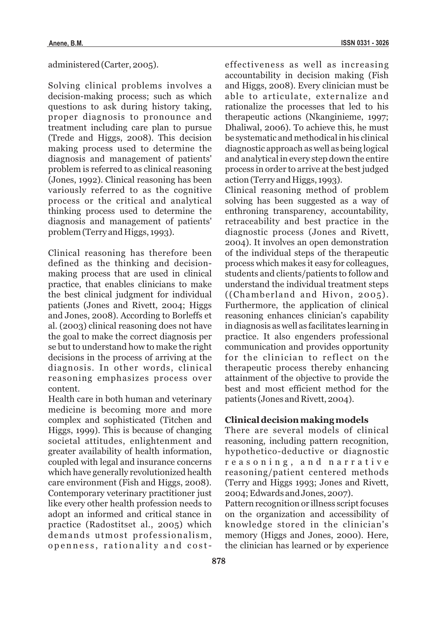administered (Carter, 2005).

Solving clinical problems involves a decision-making process; such as which questions to ask during history taking, proper diagnosis to pronounce and treatment including care plan to pursue (Trede and Higgs, 2008). This decision making process used to determine the diagnosis and management of patients' problem is referred to as clinical reasoning (Jones, 1992). Clinical reasoning has been variously referred to as the cognitive process or the critical and analytical thinking process used to determine the diagnosis and management of patients' problem (Terry and Higgs, 1993).

Clinical reasoning has therefore been defined as the thinking and decisionmaking process that are used in clinical practice, that enables clinicians to make the best clinical judgment for individual patients (Jones and Rivett, 2004; Higgs and Jones, 2008). According to Borleffs et al. (2003) clinical reasoning does not have the goal to make the correct diagnosis per se but to understand how to make the right decisions in the process of arriving at the diagnosis. In other words, clinical reasoning emphasizes process over content.

Health care in both human and veterinary medicine is becoming more and more complex and sophisticated (Titchen and Higgs, 1999). This is because of changing societal attitudes, enlightenment and greater availability of health information, coupled with legal and insurance concerns which have generally revolutionized health care environment (Fish and Higgs, 2008). Contemporary veterinary practitioner just like every other health profession needs to adopt an informed and critical stance in practice (Radostitset al., 2005) which demands utmost professionalism, openness, rationality and cost-

effectiveness as well as increasing accountability in decision making (Fish and Higgs, 2008). Every clinician must be able to articulate, externalize and rationalize the processes that led to his therapeutic actions (Nkanginieme, 1997; Dhaliwal, 2006). To achieve this, he must be systematic and methodical in his clinical diagnostic approach as well as being logical and analytical in every step down the entire process in order to arrive at the best judged action (Terry and Higgs, 1993).

Clinical reasoning method of problem solving has been suggested as a way of enthroning transparency, accountability, retraceability and best practice in the diagnostic process (Jones and Rivett, 2004). It involves an open demonstration of the individual steps of the therapeutic process which makes it easy for colleagues, students and clients/patients to follow and understand the individual treatment steps ((Chamberland and Hivon, 2005). Furthermore, the application of clinical reasoning enhances clinician's capability in diagnosis as well as facilitates learning in practice. It also engenders professional communication and provides opportunity for the clinician to reflect on the therapeutic process thereby enhancing attainment of the objective to provide the best and most efficient method for the patients (Jones and Rivett, 2004).

### **Clinical decision making models**

There are several models of clinical reasoning, including pattern recognition, hypothetico-deductive or diagnostic r e a s o n i n g , a n d n a r r a t i v e reasoning/patient centered methods (Terry and Higgs 1993; Jones and Rivett, 2004; Edwards and Jones, 2007).

Pattern recognition or illness script focuses on the organization and accessibility of knowledge stored in the clinician's memory (Higgs and Jones, 2000). Here, the clinician has learned or by experience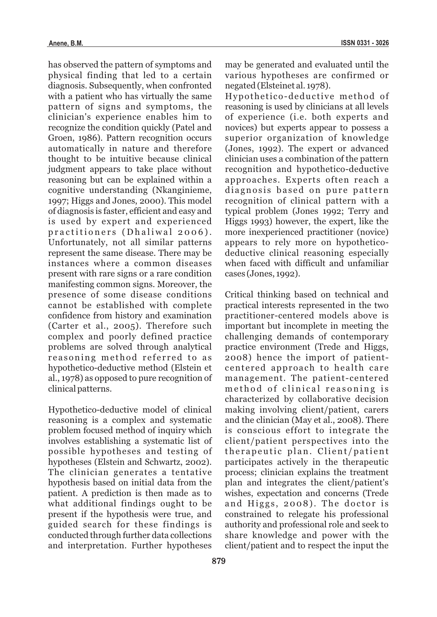has observed the pattern of symptoms and physical finding that led to a certain diagnosis. Subsequently, when confronted with a patient who has virtually the same pattern of signs and symptoms, the clinician's experience enables him to recognize the condition quickly (Patel and Groen, 1986). Pattern recognition occurs automatically in nature and therefore thought to be intuitive because clinical judgment appears to take place without reasoning but can be explained within a cognitive understanding (Nkanginieme, 1997; Higgs and Jones, 2000). This model of diagnosis is faster, efficient and easy and is used by expert and experienced practitioners (Dhaliwal 2006). Unfortunately, not all similar patterns represent the same disease. There may be instances where a common diseases present with rare signs or a rare condition manifesting common signs. Moreover, the presence of some disease conditions cannot be established with complete confidence from history and examination (Carter et al., 2005). Therefore such complex and poorly defined practice problems are solved through analytical reasoning method referred to as hypothetico-deductive method (Elstein et al., 1978) as opposed to pure recognition of clinical patterns.

Hypothetico-deductive model of clinical reasoning is a complex and systematic problem focused method of inquiry which involves establishing a systematic list of possible hypotheses and testing of hypotheses (Elstein and Schwartz, 2002). The clinician generates a tentative hypothesis based on initial data from the patient. A prediction is then made as to what additional findings ought to be present if the hypothesis were true, and guided search for these findings is conducted through further data collections and interpretation. Further hypotheses

may be generated and evaluated until the various hypotheses are confirmed or negated (Elsteinet al. 1978).

Hypothetico-deductive method of reasoning is used by clinicians at all levels of experience (i.e. both experts and novices) but experts appear to possess a superior organization of knowledge (Jones, 1992). The expert or advanced clinician uses a combination of the pattern recognition and hypothetico-deductive approaches. Experts often reach a diagnosis based on pure pattern recognition of clinical pattern with a typical problem (Jones 1992; Terry and Higgs 1993) however, the expert, like the more inexperienced practitioner (novice) appears to rely more on hypotheticodeductive clinical reasoning especially when faced with difficult and unfamiliar cases (Jones, 1992).

Critical thinking based on technical and practical interests represented in the two practitioner-centered models above is important but incomplete in meeting the challenging demands of contemporary practice environment (Trede and Higgs, 2008) hence the import of patientcentered approach to health care management. The patient-centered method of clinical reasoning is characterized by collaborative decision making involving client/patient, carers and the clinician (May et al., 2008). There is conscious effort to integrate the client/patient perspectives into the the rapeutic plan. Client/patient participates actively in the therapeutic process; clinician explains the treatment plan and integrates the client/patient's wishes, expectation and concerns (Trede and Higgs,  $2008$ ). The doctor is constrained to relegate his professional authority and professional role and seek to share knowledge and power with the client/patient and to respect the input the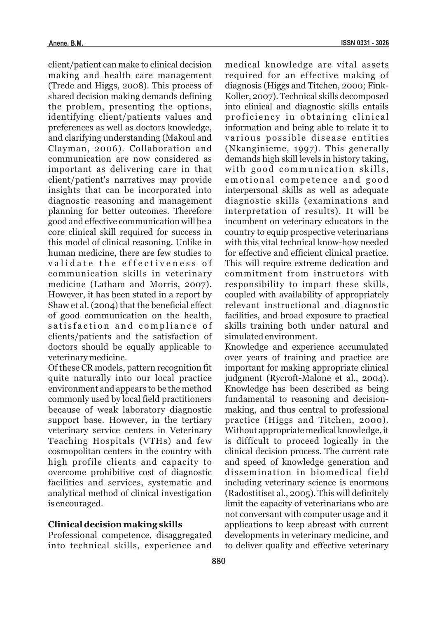client/patient can make to clinical decision making and health care management (Trede and Higgs, 2008). This process of shared decision making demands defining the problem, presenting the options, identifying client/patients values and preferences as well as doctors knowledge, and clarifying understanding (Makoul and Clayman, 2006). Collaboration and communication are now considered as important as delivering care in that client/patient's narratives may provide insights that can be incorporated into diagnostic reasoning and management planning for better outcomes. Therefore good and effective communication will be a core clinical skill required for success in this model of clinical reasoning. Unlike in human medicine, there are few studies to validate the effectiveness of communication skills in veterinary medicine (Latham and Morris, 2007). However, it has been stated in a report by Shaw et al. (2004) that the beneficial effect of good communication on the health, satisfaction and compliance of clients/patients and the satisfaction of doctors should be equally applicable to veterinary medicine.

Of these CR models, pattern recognition fit quite naturally into our local practice environment and appears to be the method commonly used by local field practitioners because of weak laboratory diagnostic support base. However, in the tertiary veterinary service centers in Veterinary Teaching Hospitals (VTHs) and few cosmopolitan centers in the country with high profile clients and capacity to overcome prohibitive cost of diagnostic facilities and services, systematic and analytical method of clinical investigation is encouraged.

#### **Clinical decision making skills**

Professional competence, disaggregated into technical skills, experience and

medical knowledge are vital assets required for an effective making of diagnosis (Higgs and Titchen, 2000; Fink-Koller, 2007). Technical skills decomposed into clinical and diagnostic skills entails proficiency in obtaining clinical information and being able to relate it to various possible disease entities (Nkanginieme, 1997). This generally demands high skill levels in history taking, with good communication skills, emotional competence and good interpersonal skills as well as adequate diagnostic skills (examinations and interpretation of results). It will be incumbent on veterinary educators in the country to equip prospective veterinarians with this vital technical know-how needed for effective and efficient clinical practice. This will require extreme dedication and commitment from instructors with responsibility to impart these skills, coupled with availability of appropriately relevant instructional and diagnostic facilities, and broad exposure to practical skills training both under natural and simulated environment.

Knowledge and experience accumulated over years of training and practice are important for making appropriate clinical judgment (Rycroft-Malone et al., 2004). Knowledge has been described as being fundamental to reasoning and decisionmaking, and thus central to professional practice (Higgs and Titchen, 2000). Without appropriate medical knowledge, it is difficult to proceed logically in the clinical decision process. The current rate and speed of knowledge generation and dissemination in biomedical field including veterinary science is enormous (Radostitiset al., 2005). This will definitely limit the capacity of veterinarians who are not conversant with computer usage and it applications to keep abreast with current developments in veterinary medicine, and to deliver quality and effective veterinary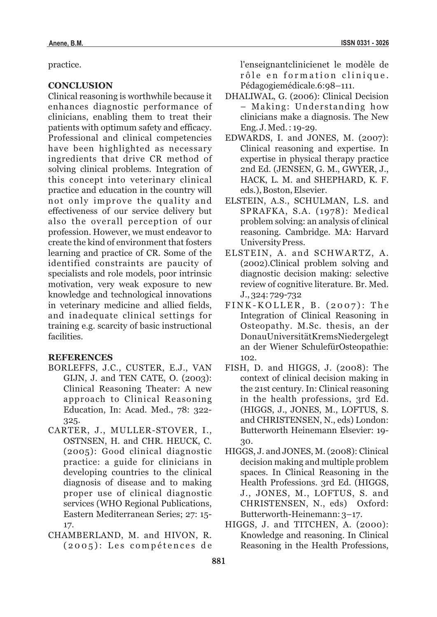practice.

# **CONCLUSION**

Clinical reasoning is worthwhile because it enhances diagnostic performance of clinicians, enabling them to treat their patients with optimum safety and efficacy. Professional and clinical competencies have been highlighted as necessary ingredients that drive CR method of solving clinical problems. Integration of this concept into veterinary clinical practice and education in the country will not only improve the quality and effectiveness of our service delivery but also the overall perception of our profession. However, we must endeavor to create the kind of environment that fosters learning and practice of CR. Some of the identified constraints are paucity of specialists and role models, poor intrinsic motivation, very weak exposure to new knowledge and technological innovations in veterinary medicine and allied fields, and inadequate clinical settings for training e.g. scarcity of basic instructional facilities.

#### **REFERENCES**

- BORLEFFS, J.C., CUSTER, E.J., VAN GIJN, J. and TEN CATE, O. (2003): Clinical Reasoning Theater: A new approach to Clinical Reasoning Education, In: Acad. Med., 78: 322- 325.
- CARTER, J., MULLER-STOVER, I., OSTNSEN, H. and CHR. HEUCK, C. (2005): Good clinical diagnostic practice: a guide for clinicians in developing countries to the clinical diagnosis of disease and to making proper use of clinical diagnostic services (WHO Regional Publications, Eastern Mediterranean Series; 27: 15- 17.
- CHAMBERLAND, M. and HIVON, R.  $(2005)$ : Les compétences de

l'enseignantclinicienet le modèle de rôle en formation clinique. Pédagogiemédicale.6:98–111.

- DHALIWAL, G. (2006): Clinical Decision – Making: Understanding how clinicians make a diagnosis. The New Eng. J. Med. : 19-29.
- EDWARDS, I. and JONES, M. (2007): Clinical reasoning and expertise. In expertise in physical therapy practice 2nd Ed. (JENSEN, G. M., GWYER, J., HACK, L. M. and SHEPHARD, K. F. eds.), Boston, Elsevier.
- ELSTEIN, A.S., SCHULMAN, L.S. and SPRAFKA, S.A. (1978): Medical problem solving: an analysis of clinical reasoning. Cambridge. MA: Harvard University Press.
- ELSTEIN, A. and SCHWARTZ, A. (2002).Clinical problem solving and diagnostic decision making: selective review of cognitive literature. Br. Med. J., 324: 729-732
- $FINK-KOLLER, B. (2007): The$ Integration of Clinical Reasoning in Osteopathy. M.Sc. thesis, an der DonauUniversitätKremsNiedergelegt an der Wiener SchulefürOsteopathie: 102.
- FISH, D. and HIGGS, J. (2008): The context of clinical decision making in the 21st century. In: Clinical reasoning in the health professions, 3rd Ed. (HIGGS, J., JONES, M., LOFTUS, S. and CHRISTENSEN, N., eds) London: Butterworth Heinemann Elsevier: 19- 30.
- HIGGS, J. and JONES, M. (2008): Clinical decision making and multiple problem spaces. In Clinical Reasoning in the Health Professions. 3rd Ed. (HIGGS, J., JONES, M., LOFTUS, S. and CHRISTENSEN, N., eds) Oxford: Butterworth-Heinemann: 3–17.
- HIGGS, J. and TITCHEN, A. (2000): Knowledge and reasoning. In Clinical Reasoning in the Health Professions,